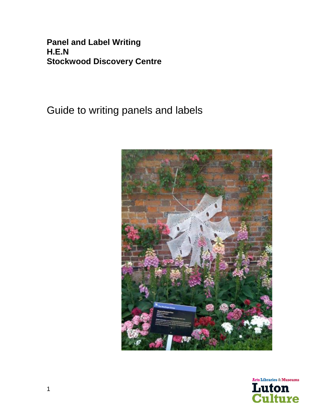**Panel and Label Writing H.E.N Stockwood Discovery Centre**

Guide to writing panels and labels



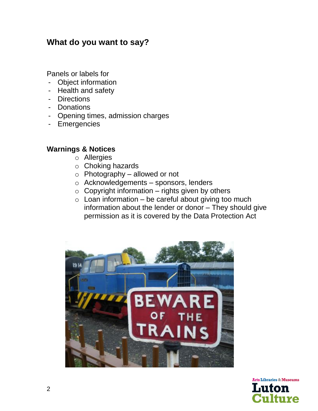### **What do you want to say?**

Panels or labels for

- Object information
- Health and safety
- Directions
- Donations
- Opening times, admission charges
- Emergencies

### **Warnings & Notices**

- o Allergies
- o Choking hazards
- $\circ$  Photography allowed or not
- o Acknowledgements sponsors, lenders
- $\circ$  Copyright information rights given by others
- $\circ$  Loan information be careful about giving too much information about the lender or donor – They should give permission as it is covered by the Data Protection Act



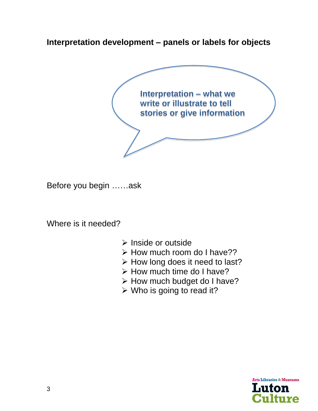**Interpretation development – panels or labels for objects**



Before you begin ……ask

Where is it needed?

- ➢ Inside or outside
- ➢ How much room do I have??
- ➢ How long does it need to last?
- ➢ How much time do I have?
- ➢ How much budget do I have?
- $\triangleright$  Who is going to read it?

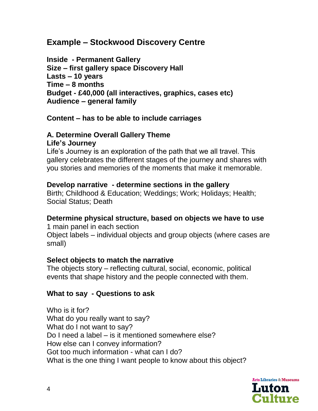### **Example – Stockwood Discovery Centre**

**Inside - Permanent Gallery Size – first gallery space Discovery Hall Lasts – 10 years Time – 8 months Budget - £40,000 (all interactives, graphics, cases etc) Audience – general family**

### **Content – has to be able to include carriages**

#### **A. Determine Overall Gallery Theme Life's Journey**

Life's Journey is an exploration of the path that we all travel. This gallery celebrates the different stages of the journey and shares with you stories and memories of the moments that make it memorable.

### **Develop narrative - determine sections in the gallery**

Birth; Childhood & Education; Weddings; Work; Holidays; Health; Social Status; Death

### **Determine physical structure, based on objects we have to use**

1 main panel in each section Object labels – individual objects and group objects (where cases are small)

### **Select objects to match the narrative**

The objects story – reflecting cultural, social, economic, political events that shape history and the people connected with them.

### **What to say - Questions to ask**

Who is it for? What do you really want to say? What do I not want to say? Do I need a label – is it mentioned somewhere else? How else can I convey information? Got too much information - what can I do? What is the one thing I want people to know about this object?

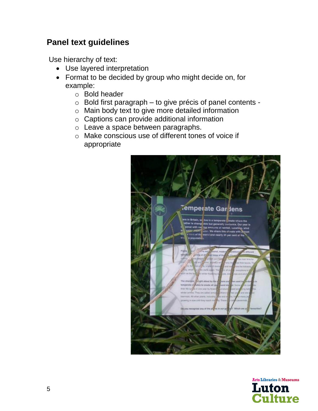# **Panel text guidelines**

Use hierarchy of text:

- Use layered interpretation
- Format to be decided by group who might decide on, for example:
	- o Bold header
	- o Bold first paragraph to give précis of panel contents -
	- o Main body text to give more detailed information
	- o Captions can provide additional information
	- o Leave a space between paragraphs.
	- o Make conscious use of different tones of voice if appropriate



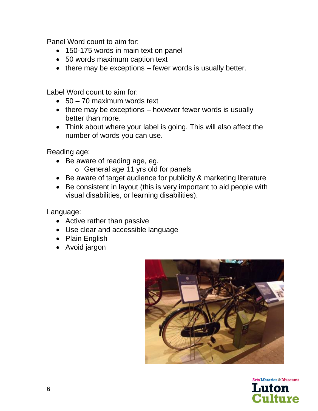Panel Word count to aim for:

- 150-175 words in main text on panel
- 50 words maximum caption text
- there may be exceptions fewer words is usually better.

Label Word count to aim for:

- $\bullet$  50 70 maximum words text
- there may be exceptions however fewer words is usually better than more.
- Think about where your label is going. This will also affect the number of words you can use.

Reading age:

- Be aware of reading age, eg.
	- o General age 11 yrs old for panels
- Be aware of target audience for publicity & marketing literature
- Be consistent in layout (this is very important to aid people with visual disabilities, or learning disabilities).

Language:

- Active rather than passive
- Use clear and accessible language
- Plain English
- Avoid jargon



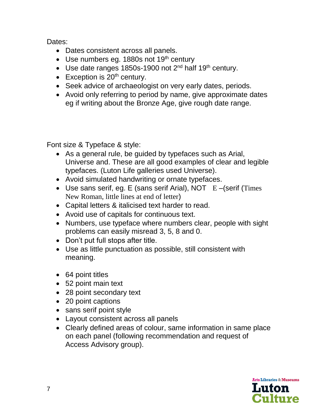Dates:

- Dates consistent across all panels.
- Use numbers eg.  $1880s$  not  $19<sup>th</sup>$  century
- Use date ranges 1850s-1900 not  $2<sup>nd</sup>$  half 19<sup>th</sup> century.
- Exception is  $20<sup>th</sup>$  century.
- Seek advice of archaeologist on very early dates, periods.
- Avoid only referring to period by name, give approximate dates eg if writing about the Bronze Age, give rough date range.

Font size & Typeface & style:

- As a general rule, be guided by typefaces such as Arial, Universe and. These are all good examples of clear and legible typefaces. (Luton Life galleries used Universe).
- Avoid simulated handwriting or ornate typefaces.
- Use sans serif, eg. E (sans serif Arial), NOT  $E -$ (serif (Times New Roman, little lines at end of letter)
- Capital letters & italicised text harder to read.
- Avoid use of capitals for continuous text.
- Numbers, use typeface where numbers clear, people with sight problems can easily misread 3, 5, 8 and 0.
- Don't put full stops after title.
- Use as little punctuation as possible, still consistent with meaning.
- 64 point titles
- 52 point main text
- 28 point secondary text
- 20 point captions
- sans serif point style
- Layout consistent across all panels
- Clearly defined areas of colour, same information in same place on each panel (following recommendation and request of Access Advisory group).

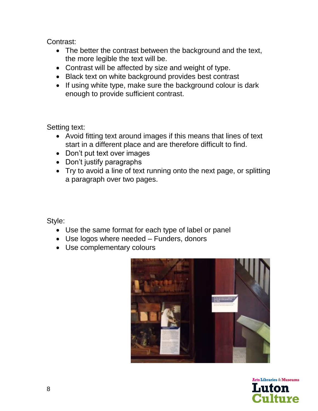Contrast:

- The better the contrast between the background and the text, the more legible the text will be.
- Contrast will be affected by size and weight of type.
- Black text on white background provides best contrast
- If using white type, make sure the background colour is dark enough to provide sufficient contrast.

Setting text:

- Avoid fitting text around images if this means that lines of text start in a different place and are therefore difficult to find.
- Don't put text over images
- Don't justify paragraphs
- Try to avoid a line of text running onto the next page, or splitting a paragraph over two pages.

Style:

- Use the same format for each type of label or panel
- Use logos where needed Funders, donors
- Use complementary colours



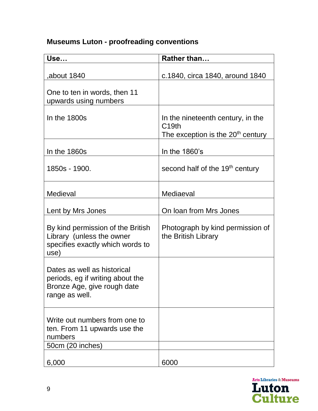# **Museums Luton - proofreading conventions**

| Use                                                                                                              | Rather than                                                                                             |
|------------------------------------------------------------------------------------------------------------------|---------------------------------------------------------------------------------------------------------|
| ,about 1840                                                                                                      | c.1840, circa 1840, around 1840                                                                         |
| One to ten in words, then 11<br>upwards using numbers                                                            |                                                                                                         |
| In the 1800s                                                                                                     | In the nineteenth century, in the<br>C <sub>19th</sub><br>The exception is the 20 <sup>th</sup> century |
| In the 1860s                                                                                                     | In the 1860's                                                                                           |
| 1850s - 1900.                                                                                                    | second half of the 19 <sup>th</sup> century                                                             |
| Medieval                                                                                                         | Mediaeval                                                                                               |
| Lent by Mrs Jones                                                                                                | On Ioan from Mrs Jones                                                                                  |
| By kind permission of the British<br>Library (unless the owner<br>specifies exactly which words to<br>use)       | Photograph by kind permission of<br>the British Library                                                 |
| Dates as well as historical<br>periods, eg if writing about the<br>Bronze Age, give rough date<br>range as well. |                                                                                                         |
| Write out numbers from one to<br>ten. From 11 upwards use the<br>numbers<br>50cm (20 inches)                     |                                                                                                         |
| 6,000                                                                                                            | 6000                                                                                                    |

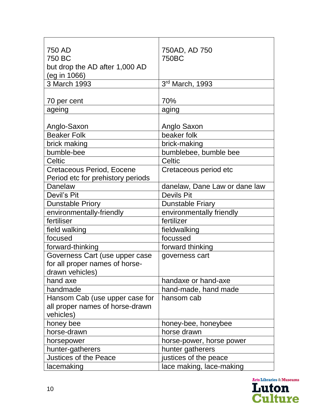| 750 AD                            | 750AD, AD 750                 |
|-----------------------------------|-------------------------------|
| 750 BC                            | 750BC                         |
| but drop the AD after 1,000 AD    |                               |
| (eg in 1066)                      |                               |
| 3 March 1993                      | 3rd March, 1993               |
|                                   |                               |
| 70 per cent                       | 70%                           |
| ageing                            | aging                         |
|                                   |                               |
| Anglo-Saxon                       | Anglo Saxon                   |
| <b>Beaker Folk</b>                | beaker folk                   |
| brick making                      | brick-making                  |
| bumble-bee                        | bumblebee, bumble bee         |
| <b>Celtic</b>                     | Celtic                        |
| <b>Cretaceous Period, Eocene</b>  | Cretaceous period etc         |
| Period etc for prehistory periods |                               |
| Danelaw                           | danelaw, Dane Law or dane law |
| Devil's Pit                       | <b>Devils Pit</b>             |
| <b>Dunstable Priory</b>           | <b>Dunstable Friary</b>       |
| environmentally-friendly          | environmentally friendly      |
| fertiliser                        | fertilizer                    |
| field walking                     | fieldwalking                  |
| focused                           | focussed                      |
| forward-thinking                  | forward thinking              |
| Governess Cart (use upper case    | governess cart                |
| for all proper names of horse-    |                               |
| drawn vehicles)                   |                               |
| hand axe                          | handaxe or hand-axe           |
| handmade                          | hand-made, hand made          |
| Hansom Cab (use upper case for    | hansom cab                    |
| all proper names of horse-drawn   |                               |
| vehicles)                         |                               |
| honey bee                         | honey-bee, honeybee           |
| horse-drawn                       | horse drawn                   |
| horsepower                        | horse-power, horse power      |
| hunter-gatherers                  | hunter gatherers              |
| <b>Justices of the Peace</b>      | justices of the peace         |
| lacemaking                        | lace making, lace-making      |

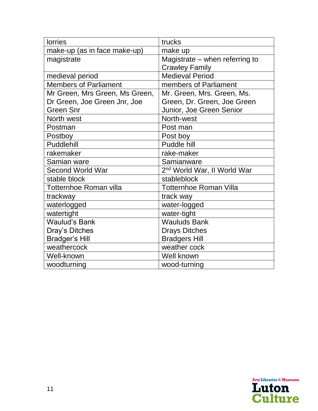| <b>lorries</b>                 | trucks                                  |
|--------------------------------|-----------------------------------------|
| make-up (as in face make-up)   | make up                                 |
| magistrate                     | Magistrate – when referring to          |
|                                | <b>Crawley Family</b>                   |
| medieval period                | <b>Medieval Period</b>                  |
| <b>Members of Parliament</b>   | members of Parliament                   |
| Mr Green, Mrs Green, Ms Green, | Mr. Green, Mrs. Green, Ms.              |
| Dr Green, Joe Green Jnr, Joe   | Green, Dr. Green, Joe Green             |
| <b>Green Snr</b>               | Junior, Joe Green Senior                |
| North west                     | North-west                              |
| Postman                        | Post man                                |
| Postboy                        | Post boy                                |
| Puddlehill                     | Puddle hill                             |
| rakemaker                      | rake-maker                              |
| Samian ware                    | Samianware                              |
| <b>Second World War</b>        | 2 <sup>nd</sup> World War, II World War |
| stable block                   | stableblock                             |
| Totternhoe Roman villa         | <b>Totternhoe Roman Villa</b>           |
| trackway                       | track way                               |
| waterlogged                    | water-logged                            |
| watertight                     | water-tight                             |
| <b>Waulud's Bank</b>           | <b>Wauluds Bank</b>                     |
| Dray's Ditches                 | <b>Drays Ditches</b>                    |
| <b>Bradger's Hill</b>          | <b>Bradgers Hill</b>                    |
| weathercock                    | weather cock                            |
| Well-known                     | Well known                              |
| woodturning                    | wood-turning                            |

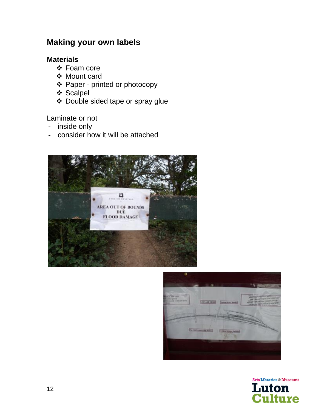# **Making your own labels**

### **Materials**

- ❖ Foam core
- ❖ Mount card
- ❖ Paper printed or photocopy
- ❖ Scalpel
- ❖ Double sided tape or spray glue

### Laminate or not

- inside only
- consider how it will be attached





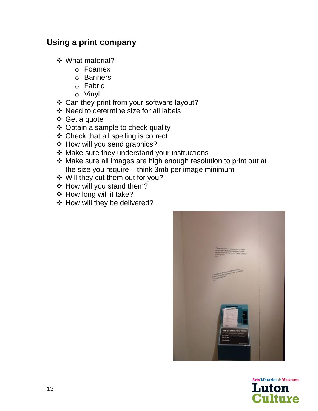## **Using a print company**

- ❖ What material?
	- o Foamex
	- o Banners
	- o Fabric
	- o Vinyl
- ❖ Can they print from your software layout?
- ❖ Need to determine size for all labels
- ❖ Get a quote
- ❖ Obtain a sample to check quality
- ❖ Check that all spelling is correct
- ❖ How will you send graphics?
- ❖ Make sure they understand your instructions
- ❖ Make sure all images are high enough resolution to print out at the size you require – think 3mb per image minimum
- ❖ Will they cut them out for you?
- ❖ How will you stand them?
- ❖ How long will it take?
- ❖ How will they be delivered?



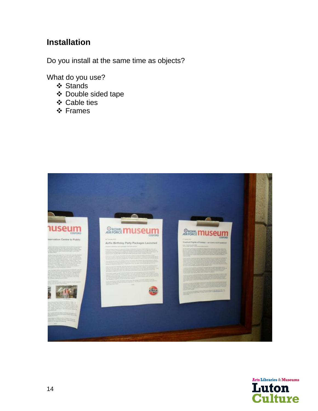# **Installation**

Do you install at the same time as objects?

What do you use?

- ❖ Stands
- ❖ Double sided tape
- ❖ Cable ties
- ❖ Frames